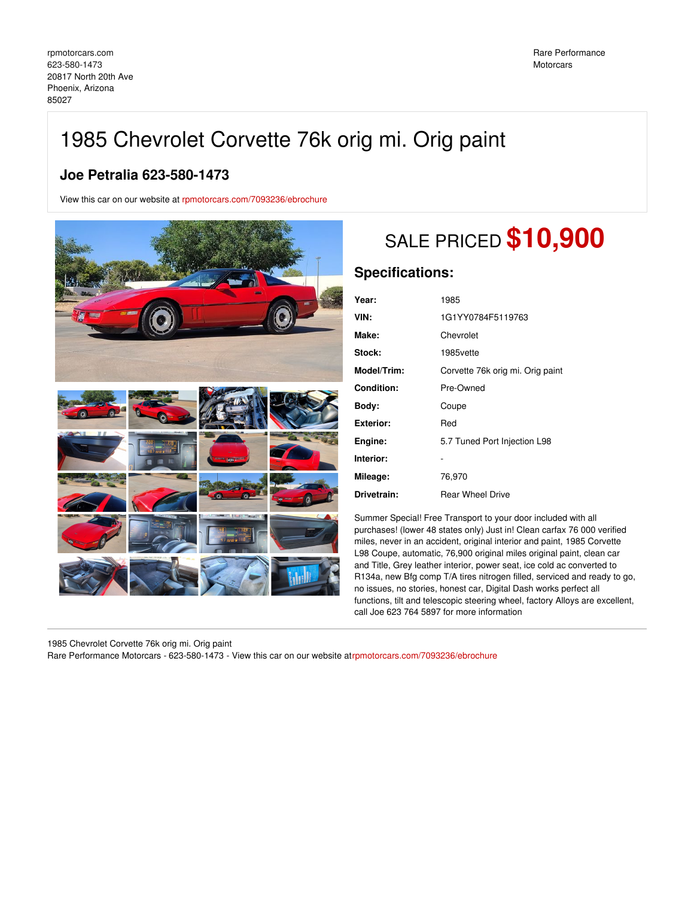## 1985 Chevrolet Corvette 76k orig mi. Orig paint

## **Joe Petralia 623-580-1473**

View this car on our website at [rpmotorcars.com/7093236/ebrochure](https://rpmotorcars.com/vehicle/7093236/1985-chevrolet-corvette-76k-orig-mi-orig-paint-phoenix-arizona-85027/7093236/ebrochure)



## SALE PRICED **\$10,900**

## **Specifications:**

| Year:            | 1985                             |
|------------------|----------------------------------|
| VIN:             | 1G1YY0784F5119763                |
| Make:            | Chevrolet                        |
| Stock:           | 1985vette                        |
| Model/Trim:      | Corvette 76k orig mi. Orig paint |
| Condition:       | Pre-Owned                        |
| Body:            | Coupe                            |
| <b>Exterior:</b> | Red                              |
| Engine:          | 5.7 Tuned Port Injection L98     |
| Interior:        |                                  |
| Mileage:         | 76,970                           |
| Drivetrain:      | <b>Rear Wheel Drive</b>          |

Summer Special! Free Transport to your door included with all purchases! (lower 48 states only) Just in! Clean carfax 76 000 verified miles, never in an accident, original interior and paint, 1985 Corvette L98 Coupe, automatic, 76,900 original miles original paint, clean car and Title, Grey leather interior, power seat, ice cold ac converted to R134a, new Bfg comp T/A tires nitrogen filled, serviced and ready to go, no issues, no stories, honest car, Digital Dash works perfect all functions, tilt and telescopic steering wheel, factory Alloys are excellent, call Joe 623 764 5897 for more information

1985 Chevrolet Corvette 76k orig mi. Orig paint

Rare Performance Motorcars - 623-580-1473 - View this car on our website a[trpmotorcars.com/7093236/ebrochure](https://rpmotorcars.com/vehicle/7093236/1985-chevrolet-corvette-76k-orig-mi-orig-paint-phoenix-arizona-85027/7093236/ebrochure)